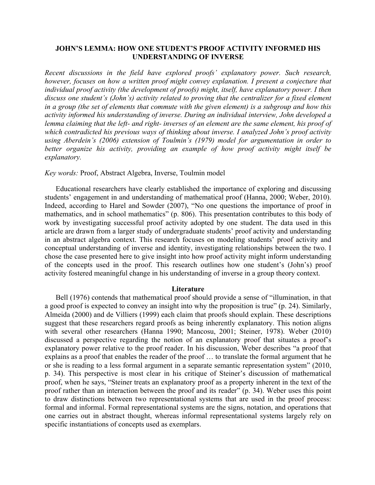# **JOHN'S LEMMA: HOW ONE STUDENT'S PROOF ACTIVITY INFORMED HIS UNDERSTANDING OF INVERSE**

*Recent discussions in the field have explored proofs' explanatory power. Such research, however, focuses on how a written proof might convey explanation. I present a conjecture that individual proof activity (the development of proofs) might, itself, have explanatory power. I then discuss one student's (John's) activity related to proving that the centralizer for a fixed element in a group (the set of elements that commute with the given element) is a subgroup and how this activity informed his understanding of inverse. During an individual interview, John developed a lemma claiming that the left- and right- inverses of an element are the same element, his proof of which contradicted his previous ways of thinking about inverse. I analyzed John's proof activity using Aberdein's (2006) extension of Toulmin's (1979) model for argumentation in order to better organize his activity, providing an example of how proof activity might itself be explanatory.*

# *Key words:* Proof, Abstract Algebra, Inverse, Toulmin model

Educational researchers have clearly established the importance of exploring and discussing students' engagement in and understanding of mathematical proof (Hanna, 2000; Weber, 2010). Indeed, according to Harel and Sowder (2007), "No one questions the importance of proof in mathematics, and in school mathematics" (p. 806). This presentation contributes to this body of work by investigating successful proof activity adopted by one student. The data used in this article are drawn from a larger study of undergraduate students' proof activity and understanding in an abstract algebra context. This research focuses on modeling students' proof activity and conceptual understanding of inverse and identity, investigating relationships between the two. I chose the case presented here to give insight into how proof activity might inform understanding of the concepts used in the proof. This research outlines how one student's (John's) proof activity fostered meaningful change in his understanding of inverse in a group theory context.

# **Literature**

Bell (1976) contends that mathematical proof should provide a sense of "illumination, in that a good proof is expected to convey an insight into why the proposition is true" (p. 24). Similarly, Almeida (2000) and de Villiers (1999) each claim that proofs should explain. These descriptions suggest that these researchers regard proofs as being inherently explanatory. This notion aligns with several other researchers (Hanna 1990; Mancosu, 2001; Steiner, 1978). Weber (2010) discussed a perspective regarding the notion of an explanatory proof that situates a proof's explanatory power relative to the proof reader. In his discussion, Weber describes "a proof that explains as a proof that enables the reader of the proof … to translate the formal argument that he or she is reading to a less formal argument in a separate semantic representation system" (2010, p. 34). This perspective is most clear in his critique of Steiner's discussion of mathematical proof, when he says, "Steiner treats an explanatory proof as a property inherent in the text of the proof rather than an interaction between the proof and its reader" (p. 34). Weber uses this point to draw distinctions between two representational systems that are used in the proof process: formal and informal. Formal representational systems are the signs, notation, and operations that one carries out in abstract thought, whereas informal representational systems largely rely on specific instantiations of concepts used as exemplars.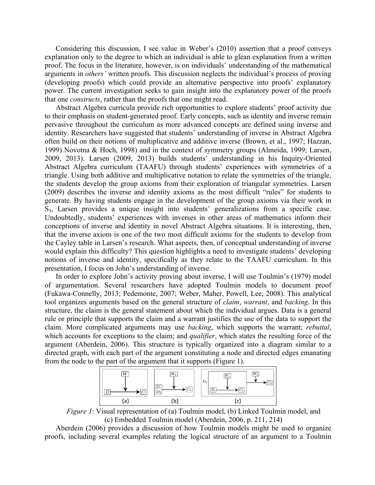Considering this discussion, I see value in Weber's (2010) assertion that a proof conveys explanation only to the degree to which an individual is able to glean explanation from a written proof. The focus in the literature, however, is on individuals' understanding of the mathematical arguments in *others'* written proofs. This discussion neglects the individual's process of proving (developing proofs) which could provide an alternative perspective into proofs' explanatory power. The current investigation seeks to gain insight into the explanatory power of the proofs that one *constructs*, rather than the proofs that one might read.

Abstract Algebra curricula provide rich opportunities to explore students' proof activity due to their emphasis on student-generated proof. Early concepts, such as identity and inverse remain pervasive throughout the curriculum as more advanced concepts are defined using inverse and identity. Researchers have suggested that students' understanding of inverse in Abstract Algebra often build on their notions of multiplicative and additive inverse (Brown, et al., 1997; Hazzan, 1999) Novotna & Hoch, 1998) and in the context of symmetry groups (Almeida, 1999; Larsen, 2009, 2013). Larsen (2009, 2013) builds students' understanding in his Inquiry-Oriented Abstract Algebra curriculum (TAAFU) through students' experiences with symmetries of a triangle. Using both additive and multiplicative notation to relate the symmetries of the triangle, the students develop the group axioms from their exploration of triangular symmetries. Larsen (2009) describes the inverse and identity axioms as the most difficult "rules" for students to generate. By having students engage in the development of the group axioms via their work in S3, Larsen provides a unique insight into students' generalizations from a specific case. Undoubtedly, students' experiences with inverses in other areas of mathematics inform their conceptions of inverse and identity in novel Abstract Algebra situations. It is interesting, then, that the inverse axiom is one of the two most difficult axioms for the students to develop from the Cayley table in Larsen's research. What aspects, then, of conceptual understanding of inverse would explain this difficulty? This question highlights a need to investigate students' developing notions of inverse and identity, specifically as they relate to the TAAFU curriculum. In this presentation, I focus on John's understanding of inverse.

In order to explore John's activity proving about inverse, I will use Toulmin's (1979) model of argumentation. Several researchers have adopted Toulmin models to document proof (Fukawa-Connelly, 2013; Pedemonte, 2007; Weber, Maher, Powell, Lee, 2008). This analytical tool organizes arguments based on the general structure of *claim*, *warrant*, and *backing*. In this structure, the claim is the general statement about which the individual argues. Data is a general rule or principle that supports the claim and a warrant justifies the use of the data to support the claim. More complicated arguments may use *backing*, which supports the warrant; *rebuttal*, which accounts for exceptions to the claim; and *qualifier*, which states the resulting force of the argument (Aberdein, 2006). This structure is typically organized into a diagram similar to a directed graph, with each part of the argument constituting a node and directed edges emanating from the node to the part of the argument that it supports (Figure 1).



*Figure 1*: Visual representation of (a) Toulmin model, (b) Linked Toulmin model, and (c) Embedded Toulmin model (Aberdein, 2006, p. 211, 214)

Aberdein (2006) provides a discussion of how Toulmin models might be used to organize proofs, including several examples relating the logical structure of an argument to a Toulmin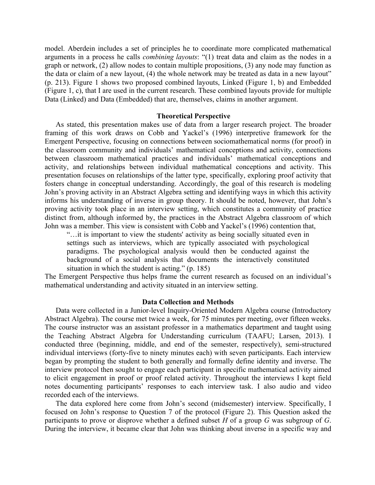model. Aberdein includes a set of principles he to coordinate more complicated mathematical arguments in a process he calls *combining layouts*: "(1) treat data and claim as the nodes in a graph or network, (2) allow nodes to contain multiple propositions, (3) any node may function as the data or claim of a new layout, (4) the whole network may be treated as data in a new layout" (p. 213). Figure 1 shows two proposed combined layouts, Linked (Figure 1, b) and Embedded (Figure 1, c), that I are used in the current research. These combined layouts provide for multiple Data (Linked) and Data (Embedded) that are, themselves, claims in another argument.

### **Theoretical Perspective**

As stated, this presentation makes use of data from a larger research project. The broader framing of this work draws on Cobb and Yackel's (1996) interpretive framework for the Emergent Perspective, focusing on connections between sociomathematical norms (for proof) in the classroom community and individuals' mathematical conceptions and activity, connections between classroom mathematical practices and individuals' mathematical conceptions and activity, and relationships between individual mathematical conceptions and activity. This presentation focuses on relationships of the latter type, specifically, exploring proof activity that fosters change in conceptual understanding. Accordingly, the goal of this research is modeling John's proving activity in an Abstract Algebra setting and identifying ways in which this activity informs his understanding of inverse in group theory. It should be noted, however, that John's proving activity took place in an interview setting, which constitutes a community of practice distinct from, although informed by, the practices in the Abstract Algebra classroom of which John was a member. This view is consistent with Cobb and Yackel's (1996) contention that,

"…it is important to view the students' activity as being socially situated even in settings such as interviews, which are typically associated with psychological paradigms. The psychological analysis would then be conducted against the background of a social analysis that documents the interactively constituted situation in which the student is acting." (p. 185)

The Emergent Perspective thus helps frame the current research as focused on an individual's mathematical understanding and activity situated in an interview setting.

#### **Data Collection and Methods**

Data were collected in a Junior-level Inquiry-Oriented Modern Algebra course (Introductory Abstract Algebra). The course met twice a week, for 75 minutes per meeting, over fifteen weeks. The course instructor was an assistant professor in a mathematics department and taught using the Teaching Abstract Algebra for Understanding curriculum (TAAFU; Larsen, 2013). I conducted three (beginning, middle, and end of the semester, respectively), semi-structured individual interviews (forty-five to ninety minutes each) with seven participants. Each interview began by prompting the student to both generally and formally define identity and inverse. The interview protocol then sought to engage each participant in specific mathematical activity aimed to elicit engagement in proof or proof related activity. Throughout the interviews I kept field notes documenting participants' responses to each interview task. I also audio and video recorded each of the interviews.

The data explored here come from John's second (midsemester) interview. Specifically, I focused on John's response to Question 7 of the protocol (Figure 2). This Question asked the participants to prove or disprove whether a defined subset *H* of a group *G* was subgroup of *G*. During the interview, it became clear that John was thinking about inverse in a specific way and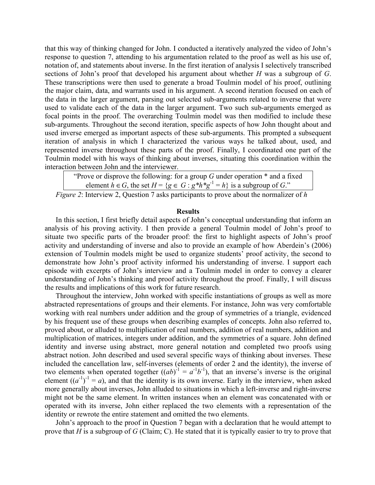that this way of thinking changed for John. I conducted a iteratively analyzed the video of John's response to question 7, attending to his argumentation related to the proof as well as his use of, notation of, and statements about inverse. In the first iteration of analysis I selectively transcribed sections of John's proof that developed his argument about whether *H* was a subgroup of *G*. These transcriptions were then used to generate a broad Toulmin model of his proof, outlining the major claim, data, and warrants used in his argument. A second iteration focused on each of the data in the larger argument, parsing out selected sub-arguments related to inverse that were used to validate each of the data in the larger argument. Two such sub-arguments emerged as focal points in the proof. The overarching Toulmin model was then modified to include these sub-arguments. Throughout the second iteration, specific aspects of how John thought about and used inverse emerged as important aspects of these sub-arguments. This prompted a subsequent iteration of analysis in which I characterized the various ways he talked about, used, and represented inverse throughout these parts of the proof. Finally, I coordinated one part of the Toulmin model with his ways of thinking about inverses, situating this coordination within the interaction between John and the interviewer.

|  |  |  |  |  |                                                                                                                                                                                                                                    |  |  |  |  | "Prove or disprove the following: for a group $G$ under operation $*$ and a fixed     |  |
|--|--|--|--|--|------------------------------------------------------------------------------------------------------------------------------------------------------------------------------------------------------------------------------------|--|--|--|--|---------------------------------------------------------------------------------------|--|
|  |  |  |  |  |                                                                                                                                                                                                                                    |  |  |  |  | element $h \in G$ , the set $H = \{g \in G : g^*h^*g^{-1} = h\}$ is a subgroup of G." |  |
|  |  |  |  |  | $\bullet$ represented to the contract of the contract of the contract of the contract of the contract of the contract of the contract of the contract of the contract of the contract of the contract of the contract of the contr |  |  |  |  |                                                                                       |  |

*Figure 2*: Interview 2, Question 7 asks participants to prove about the normalizer of *h*

# **Results**

In this section, I first briefly detail aspects of John's conceptual understanding that inform an analysis of his proving activity. I then provide a general Toulmin model of John's proof to situate two specific parts of the broader proof: the first to highlight aspects of John's proof activity and understanding of inverse and also to provide an example of how Aberdein's (2006) extension of Toulmin models might be used to organize students' proof activity, the second to demonstrate how John's proof activity informed his understanding of inverse. I support each episode with excerpts of John's interview and a Toulmin model in order to convey a clearer understanding of John's thinking and proof activity throughout the proof. Finally, I will discuss the results and implications of this work for future research.

Throughout the interview, John worked with specific instantiations of groups as well as more abstracted representations of groups and their elements. For instance, John was very comfortable working with real numbers under addition and the group of symmetries of a triangle, evidenced by his frequent use of these groups when describing examples of concepts. John also referred to, proved about, or alluded to multiplication of real numbers, addition of real numbers, addition and multiplication of matrices, integers under addition, and the symmetries of a square. John defined identity and inverse using abstract, more general notation and completed two proofs using abstract notion. John described and used several specific ways of thinking about inverses. These included the cancellation law, self-inverses (elements of order 2 and the identity), the inverse of two elements when operated together  $((ab)^{-1} = a^{-1}b^{-1})$ , that an inverse's inverse is the original element  $((a^{-1})^{-1} = a)$ , and that the identity is its own inverse. Early in the interview, when asked more generally about inverses, John alluded to situations in which a left-inverse and right-inverse might not be the same element. In written instances when an element was concatenated with or operated with its inverse, John either replaced the two elements with a representation of the identity or rewrote the entire statement and omitted the two elements.

John's approach to the proof in Question 7 began with a declaration that he would attempt to prove that *H* is a subgroup of *G* (Claim; C). He stated that it is typically easier to try to prove that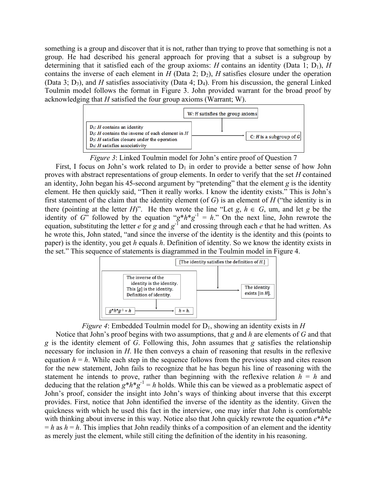something is a group and discover that it is not, rather than trying to prove that something is not a group. He had described his general approach for proving that a subset is a subgroup by determining that it satisfied each of the group axioms: *H* contains an identity (Data 1; D<sub>1</sub>), *H* contains the inverse of each element in  $H$  (Data 2; D<sub>2</sub>),  $H$  satisfies closure under the operation (Data 3;  $D_3$ ), and *H* satisfies associativity (Data 4;  $D_4$ ). From his discussion, the general Linked Toulmin model follows the format in Figure 3. John provided warrant for the broad proof by acknowledging that *H* satisfied the four group axioms (Warrant; W).



*Figure 3*: Linked Toulmin model for John's entire proof of Question 7

First, I focus on John's work related to  $D_1$  in order to provide a better sense of how John proves with abstract representations of group elements. In order to verify that the set *H* contained an identity, John began his 45-second argument by "pretending" that the element *g* is the identity element. He then quickly said, "Then it really works. I know the identity exists." This is John's first statement of the claim that the identity element (of *G*) is an element of *H* ("the identity is in there (pointing at the letter *H*)". He then wrote the line "Let  $g, h \in G$ , um, and let  $g$  be the identity of *G*" followed by the equation " $g*h*g^{-1} = h$ ." On the next line, John rewrote the equation, substituting the letter *e* for *g* and  $g^{-1}$  and crossing through each *e* that he had written. As he wrote this, John stated, "and since the inverse of the identity is the identity and this (points to paper) is the identity, you get *h* equals *h*. Definition of identity. So we know the identity exists in the set." This sequence of statements is diagrammed in the Toulmin model in Figure 4.



*Figure 4*: Embedded Toulmin model for  $D_1$ , showing an identity exists in *H* 

Notice that John's proof begins with two assumptions, that *g* and *h* are elements of *G* and that *g* is the identity element of *G*. Following this, John assumes that *g* satisfies the relationship necessary for inclusion in *H*. He then conveys a chain of reasoning that results in the reflexive equation  $h = h$ . While each step in the sequence follows from the previous step and cites reason for the new statement, John fails to recognize that he has begun his line of reasoning with the statement he intends to prove, rather than beginning with the reflexive relation  $h = h$  and deducing that the relation  $g^*h^*g^{-1} = h$  holds. While this can be viewed as a problematic aspect of John's proof, consider the insight into John's ways of thinking about inverse that this excerpt provides. First, notice that John identified the inverse of the identity as the identity. Given the quickness with which he used this fact in the interview, one may infer that John is comfortable with thinking about inverse in this way. Notice also that John quickly rewrote the equation *e*\**h*\**e*  $= h$  as  $h = h$ . This implies that John readily thinks of a composition of an element and the identity as merely just the element, while still citing the definition of the identity in his reasoning.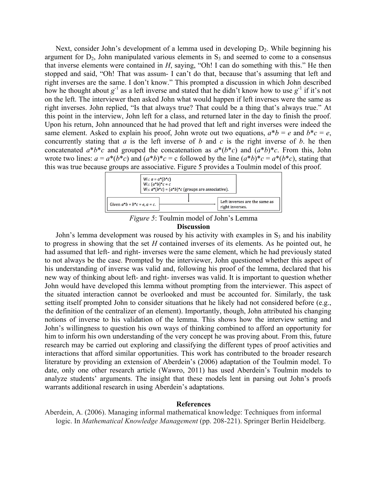Next, consider John's development of a lemma used in developing  $D_2$ . While beginning his argument for  $D_2$ , John manipulated various elements in  $S_3$  and seemed to come to a consensus that inverse elements were contained in *H*, saying, "Oh! I can do something with this." He then stopped and said, "Oh! That was assum- I can't do that, because that's assuming that left and right inverses are the same. I don't know." This prompted a discussion in which John described how he thought about  $g^{-1}$  as a left inverse and stated that he didn't know how to use  $g^{-1}$  if it's not on the left. The interviewer then asked John what would happen if left inverses were the same as right inverses. John replied, "Is that always true? That could be a thing that's always true." At this point in the interview, John left for a class, and returned later in the day to finish the proof. Upon his return, John announced that he had proved that left and right inverses were indeed the same element. Asked to explain his proof, John wrote out two equations,  $a^*b = e$  and  $b^*c = e$ , concurrently stating that *a* is the left inverse of *b* and *c* is the right inverse of *b*. he then concatenated  $a^*b^*c$  and grouped the concatenation as  $a^*(b^*c)$  and  $(a^*b)^*c$ . From this, John wrote two lines:  $a = a^*(b^*c)$  and  $(a^*b)^*c = c$  followed by the line  $(a^*b)^*c = a^*(b^*c)$ , stating that this was true because groups are associative. Figure 5 provides a Toulmin model of this proof.



*Figure 5*: Toulmin model of John's Lemma

### **Discussion**

John's lemma development was roused by his activity with examples in  $S_3$  and his inability to progress in showing that the set *H* contained inverses of its elements. As he pointed out, he had assumed that left- and right- inverses were the same element, which he had previously stated to not always be the case. Prompted by the interviewer, John questioned whether this aspect of his understanding of inverse was valid and, following his proof of the lemma, declared that his new way of thinking about left- and right- inverses was valid. It is important to question whether John would have developed this lemma without prompting from the interviewer. This aspect of the situated interaction cannot be overlooked and must be accounted for. Similarly, the task setting itself prompted John to consider situations that he likely had not considered before (e.g., the definition of the centralizer of an element). Importantly, though, John attributed his changing notions of inverse to his validation of the lemma. This shows how the interview setting and John's willingness to question his own ways of thinking combined to afford an opportunity for him to inform his own understanding of the very concept he was proving about. From this, future research may be carried out exploring and classifying the different types of proof activities and interactions that afford similar opportunities. This work has contributed to the broader research literature by providing an extension of Aberdein's (2006) adaptation of the Toulmin model. To date, only one other research article (Wawro, 2011) has used Aberdein's Toulmin models to analyze students' arguments. The insight that these models lent in parsing out John's proofs warrants additional research in using Aberdein's adaptations.

# **References**

Aberdein, A. (2006). Managing informal mathematical knowledge: Techniques from informal logic. In *Mathematical Knowledge Management* (pp. 208-221). Springer Berlin Heidelberg.